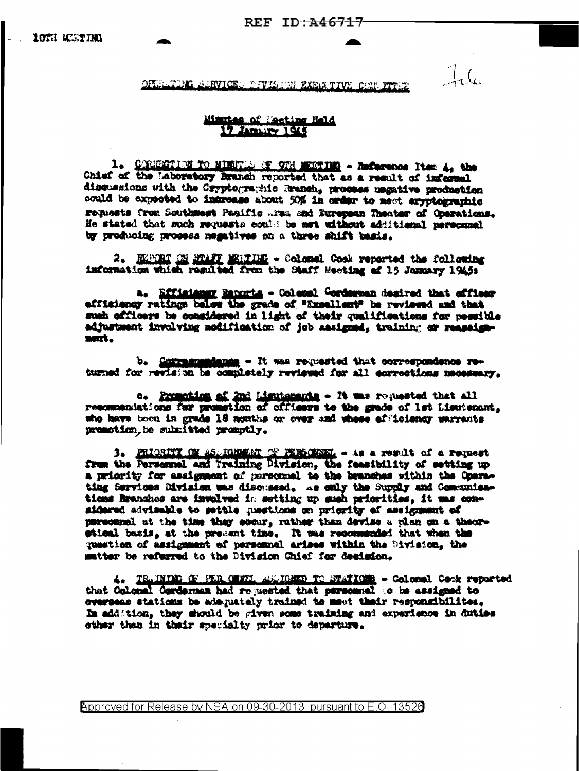OFILLTIMG SARVICE, DIVISION EXECUTIVE CONVITTEE

## Minutes of Meeting Held 17 Jamairy 1915

CORNECTION TO MINUTES OF 9TH MEDITIME - Reference Item 4, the  $l_{\bullet}$ Chief of the Laboratory Branch reported that as a result of informal discussions with the Cryptographic Branch, process magative production could be expected to increase about 50% in order to meet exyptographic remasts from Southwest Pacific Area and European Theater of Operations. He stated that such requests could be met without additional personnel by producing prosess negatives on a three shift basis.

2. ELPORT ON MARY MELTING - Colomal Cook reported the following information which resulted from the Staff Meeting af 15 January 1945:

a. Efficiency Reports - Colemal Corderman desired that officer afficiency ratings below the grade of "Expellent" be reviewed and that sush officers be considered in light of their qualifications for possible adjustment invulving modification of jeb assigned, training or reassignment.

b. Commanandance - It was requested that correspondence returned for revision be completely reviewed for all corrections necessary.

c. Promotion of 2nd Lisutenants - It was requested that all resommentations for promotion of officers to the grade of lat Lieutenant, who have been in grade 18 months or over and whese efficiency warrants premotion, be submitted promptly.

PRIORITY ON ASSIGNMENT OF PERSONNEL - As a result of a request з. from the Personnal and Training Division, the feasibility of setting up a retority for assignment of personnel to the branches within the Oparating Services Division was discussed. As only the Supply and Communications Branches are involved in setting up such priorities, it was considered advisable to settle questions on priority of assignment of personnel at the time thay ecour, rather than devise a plan on a theorstical basis, at the present time. It was recommended that when the question of assignment of personnal arises within the Division, the matter be referred to the Division Chief for decision.

4. TRAINING OF PERLOWNIA ANAIGHED TO NTATIONS - Colomal Cook reported that Colonal Gordernam had requested that personnel to be assigned to overseas stations be adequately trained to meet their responsibilities. In addition, they should be given some training and experience in duties sther than in their specialty prior to departure.

**Approved for Release by NSA on 09-30-2013 pursuant to E.O. 13520**